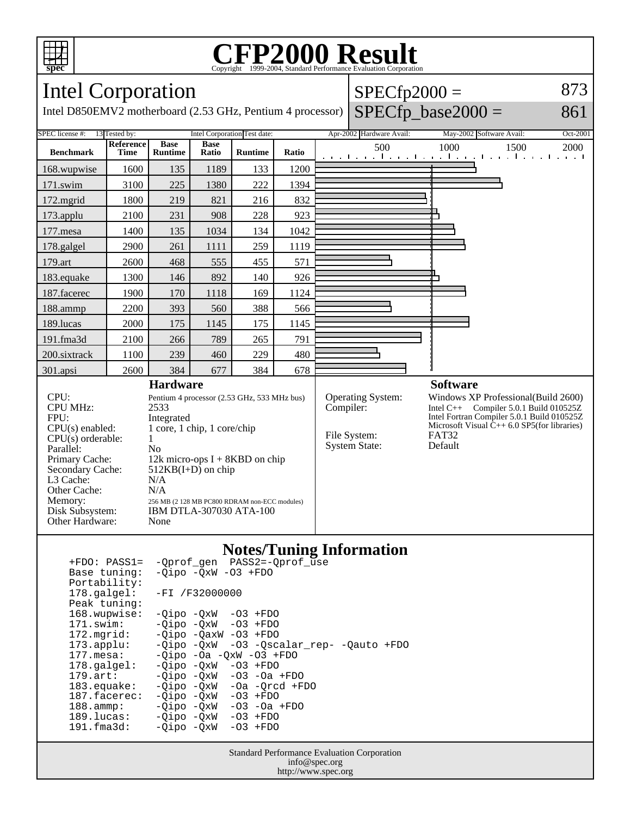

## Copyright ©1999-2004, Standard Performance Evaluation Corporation

| Intel Corporation                                                                                                                                                                                                                                                                                                                                                                                                                                                                                                      |                   |                               |                      |                              |       |                           | $SPECfp2000 =$                                            |                                                                                                                                                                                                                                  | 873      |
|------------------------------------------------------------------------------------------------------------------------------------------------------------------------------------------------------------------------------------------------------------------------------------------------------------------------------------------------------------------------------------------------------------------------------------------------------------------------------------------------------------------------|-------------------|-------------------------------|----------------------|------------------------------|-------|---------------------------|-----------------------------------------------------------|----------------------------------------------------------------------------------------------------------------------------------------------------------------------------------------------------------------------------------|----------|
| $SPECfp\_base2000 =$<br>Intel D850EMV2 motherboard (2.53 GHz, Pentium 4 processor)                                                                                                                                                                                                                                                                                                                                                                                                                                     |                   |                               |                      |                              |       |                           |                                                           |                                                                                                                                                                                                                                  | 861      |
| Intel Corporation Test date:<br>SPEC license #:<br>13 Tested by:                                                                                                                                                                                                                                                                                                                                                                                                                                                       |                   |                               |                      |                              |       |                           | Apr-2002 Hardware Avail:                                  | May-2002 Software Avail:                                                                                                                                                                                                         | Oct-2001 |
| <b>Benchmark</b>                                                                                                                                                                                                                                                                                                                                                                                                                                                                                                       | Reference<br>Time | <b>Base</b><br><b>Runtime</b> | <b>Base</b><br>Ratio | <b>Runtime</b>               | Ratio |                           | 500                                                       | 1000<br>1500<br>المتعارف والمتواطن والمتواطن والمتواطن والمتواطن والمنافر                                                                                                                                                        | 2000     |
| 168.wupwise                                                                                                                                                                                                                                                                                                                                                                                                                                                                                                            | 1600              | 135                           | 1189                 | 133                          | 1200  |                           |                                                           |                                                                                                                                                                                                                                  |          |
| 171.swim                                                                                                                                                                                                                                                                                                                                                                                                                                                                                                               | 3100              | 225                           | 1380                 | 222                          | 1394  |                           |                                                           |                                                                                                                                                                                                                                  |          |
| 172.mgrid                                                                                                                                                                                                                                                                                                                                                                                                                                                                                                              | 1800              | 219                           | 821                  | 216                          | 832   |                           |                                                           |                                                                                                                                                                                                                                  |          |
| 173.applu                                                                                                                                                                                                                                                                                                                                                                                                                                                                                                              | 2100              | 231                           | 908                  | 228                          | 923   |                           |                                                           |                                                                                                                                                                                                                                  |          |
| 177.mesa                                                                                                                                                                                                                                                                                                                                                                                                                                                                                                               | 1400              | 135                           | 1034                 | 134                          | 1042  |                           |                                                           |                                                                                                                                                                                                                                  |          |
| 178.galgel                                                                                                                                                                                                                                                                                                                                                                                                                                                                                                             | 2900              | 261                           | 1111                 | 259                          | 1119  |                           |                                                           |                                                                                                                                                                                                                                  |          |
| 179.art                                                                                                                                                                                                                                                                                                                                                                                                                                                                                                                | 2600              | 468                           | 555                  | 455                          | 571   |                           |                                                           |                                                                                                                                                                                                                                  |          |
| 183.equake                                                                                                                                                                                                                                                                                                                                                                                                                                                                                                             | 1300              | 146                           | 892                  | 140                          | 926   |                           |                                                           |                                                                                                                                                                                                                                  |          |
| 187.facerec                                                                                                                                                                                                                                                                                                                                                                                                                                                                                                            | 1900              | 170                           | 1118                 | 169                          | 1124  |                           |                                                           |                                                                                                                                                                                                                                  |          |
| 188.ammp                                                                                                                                                                                                                                                                                                                                                                                                                                                                                                               | 2200              | 393                           | 560                  | 388                          | 566   |                           |                                                           |                                                                                                                                                                                                                                  |          |
| 189.lucas                                                                                                                                                                                                                                                                                                                                                                                                                                                                                                              | 2000              | 175                           | 1145                 | 175                          | 1145  |                           |                                                           |                                                                                                                                                                                                                                  |          |
| 191.fma3d                                                                                                                                                                                                                                                                                                                                                                                                                                                                                                              | 2100              | 266                           | 789                  | 265                          | 791   |                           |                                                           |                                                                                                                                                                                                                                  |          |
| 200.sixtrack                                                                                                                                                                                                                                                                                                                                                                                                                                                                                                           | 1100              | 239                           | 460                  | 229                          | 480   |                           |                                                           |                                                                                                                                                                                                                                  |          |
| 301.apsi                                                                                                                                                                                                                                                                                                                                                                                                                                                                                                               | 2600              | 384                           | 677                  | 384                          | 678   |                           |                                                           |                                                                                                                                                                                                                                  |          |
| <b>Hardware</b><br>CPU:<br>Pentium 4 processor (2.53 GHz, 533 MHz bus)<br><b>CPU MHz:</b><br>2533<br>FPU:<br>Integrated<br>1 core, 1 chip, 1 core/chip<br>$CPU(s)$ enabled:<br>CPU(s) orderable:<br>1<br>Parallel:<br>N <sub>o</sub><br>Primary Cache:<br>12k micro-ops $I + 8KBD$ on chip<br>$512KB(I+D)$ on chip<br>Secondary Cache:<br>L3 Cache:<br>N/A<br>Other Cache:<br>N/A<br>Memory:<br>256 MB (2 128 MB PC800 RDRAM non-ECC modules)<br>Disk Subsystem:<br>IBM DTLA-307030 ATA-100<br>Other Hardware:<br>None |                   |                               |                      |                              |       | Compiler:                 | Operating System:<br>File System:<br><b>System State:</b> | <b>Software</b><br>Windows XP Professional(Build 2600)<br>Intel C++ Compiler 5.0.1 Build $010525Z$<br>Intel Fortran Compiler 5.0.1 Build 010525Z<br>Microsoft Visual $\tilde{C}_{++}$ 6.0 SP5(for libraries)<br>FAT32<br>Default |          |
|                                                                                                                                                                                                                                                                                                                                                                                                                                                                                                                        |                   |                               |                      | $\blacksquare$<br>$\sqrt{2}$ |       | $\mathbf{r}$ $\mathbf{a}$ |                                                           |                                                                                                                                                                                                                                  |          |

#### **Notes/Tuning Information**

| $+FDO: PASS1=$        | -Oprof gen PASS2=-Oprof use              |
|-----------------------|------------------------------------------|
| Base tuning:          | $-Oipo$ $-OxW$ $-O3$ $+FDO$              |
| Portability:          |                                          |
| 178.galgel:           | -FI /F32000000                           |
| Peak tuning:          |                                          |
| 168.wupwise:          | $-Oipo -QxW -O3 + FDO$                   |
| 171.swim:             | $-Oipo$ $-OxW$ $-O3$ $+FDO$              |
| $172.\text{mgrid}:$   | $-Oipo$ $-OaxW$ $-O3$ $+FDO$             |
| $173.\text{applu}:$   | -Oipo -OxW -O3 -Oscalar rep- -Oauto +FDO |
| $177.\text{mesa}$ :   | $-Oipo$ $-Oa$ $-OxW$ $-O3$ $+FDO$        |
| $178.\text{qalgel}$ : | $-Oipo$ $-OxW$ $-O3$ $+FDO$              |
| $179.\text{art}$ :    | $-Oipo$ $-OxW$ $-O3$ $-Oa$ $+FDO$        |
| $183.\n$ equake:      | $-Oipo$ $-OxW$ $-Oa$ $-Orcd$ $+FDO$      |
| 187.facerec:          | $-Oipo$ $-OxW$ $-O3$ $+FDO$              |
| $188.\text{amp}:$     | $-Oipo$ $-OxW$ $-O3$ $-Oa$ $+FDO$        |
| 189.lucas:            | $-Oipo$ $-OxW$ $-O3$ $+FDO$              |
| $191.f$ ma $3d$ :     | -Oipo -OxW<br>$-03$ +FDO                 |
|                       |                                          |

Standard Performance Evaluation Corporation info@spec.org http://www.spec.org